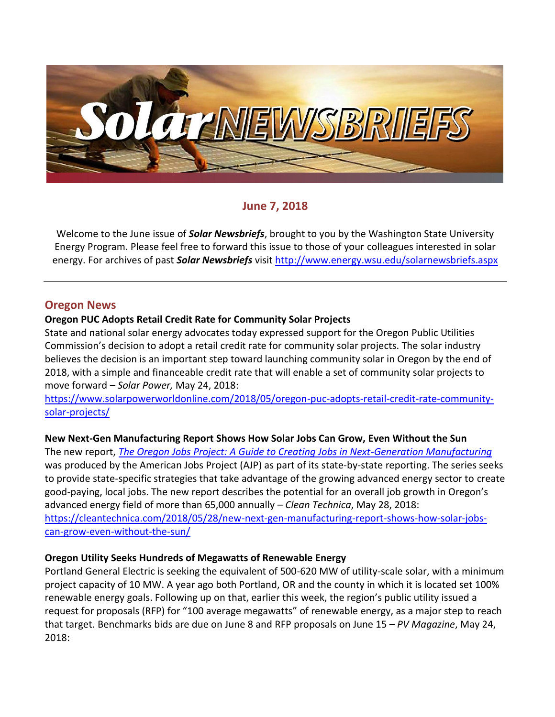

## **June 7, 2018**

Welcome to the June issue of *Solar Newsbriefs*, brought to you by the Washington State University Energy Program. Please feel free to forward this issue to those of your colleagues interested in solar energy. For archives of past *Solar Newsbriefs* visit<http://www.energy.wsu.edu/solarnewsbriefs.aspx>

#### **Oregon News**

#### **Oregon PUC Adopts Retail Credit Rate for Community Solar Projects**

State and national solar energy advocates today expressed support for the Oregon Public Utilities Commission's decision to adopt a retail credit rate for community solar projects. The solar industry believes the decision is an important step toward launching community solar in Oregon by the end of 2018, with a simple and financeable credit rate that will enable a set of community solar projects to move forward – *Solar Power,* May 24, 2018:

[https://www.solarpowerworldonline.com/2018/05/oregon-puc-adopts-retail-credit-rate-community](https://www.solarpowerworldonline.com/2018/05/oregon-puc-adopts-retail-credit-rate-community-solar-projects/)[solar-projects/](https://www.solarpowerworldonline.com/2018/05/oregon-puc-adopts-retail-credit-rate-community-solar-projects/)

#### **New Next-Gen Manufacturing Report Shows How Solar Jobs Can Grow, Even Without the Sun**

The new report, *[The Oregon Jobs Project: A Guide to Creating Jobs in Next-Generation Manufacturing](http://americanjobsproject.us/wp/wp-content/uploads/2018/05/webready_oregon-v2.pdf)* was produced by the American Jobs Project (AJP) as part of its [state-by-state reporting.](http://americanjobsproject.us/ourwork/growing-advanced-energy-economies/) The series seeks to provide state-specific strategies that take advantage of the growing advanced energy sector to create good-paying, local jobs. The new report describes the potential for an overall job growth in Oregon's advanced energy field of more than 65,000 annually – *Clean Technica*, May 28, 2018: [https://cleantechnica.com/2018/05/28/new-next-gen-manufacturing-report-shows-how-solar-jobs](https://cleantechnica.com/2018/05/28/new-next-gen-manufacturing-report-shows-how-solar-jobs-can-grow-even-without-the-sun/)[can-grow-even-without-the-sun/](https://cleantechnica.com/2018/05/28/new-next-gen-manufacturing-report-shows-how-solar-jobs-can-grow-even-without-the-sun/)

#### **Oregon Utility Seeks Hundreds of Megawatts of Renewable Energy**

Portland General Electric is seeking the equivalent of 500-620 MW of utility-scale solar, with a minimum project capacity of 10 MW. A year ago both Portland, OR and the county in which it is located set 100% renewable energy goals. Following up on that, earlier this week, the region's public utility issued a request for proposals (RFP) for "100 average megawatts" of renewable energy, as a major step to reach that target. Benchmarks bids are due on June 8 and RFP proposals on June 15 – *PV Magazine*, May 24, 2018: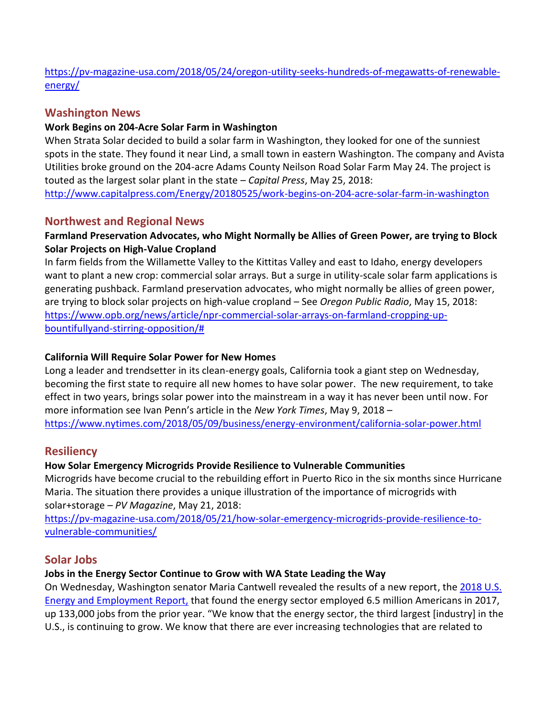[https://pv-magazine-usa.com/2018/05/24/oregon-utility-seeks-hundreds-of-megawatts-of-renewable](https://pv-magazine-usa.com/2018/05/24/oregon-utility-seeks-hundreds-of-megawatts-of-renewable-energy/)[energy/](https://pv-magazine-usa.com/2018/05/24/oregon-utility-seeks-hundreds-of-megawatts-of-renewable-energy/)

## **Washington News**

#### **Work Begins on 204-Acre Solar Farm in Washington**

When Strata Solar decided to build a solar farm in Washington, they looked for one of the sunniest spots in the state. They found it near Lind, a small town in eastern Washington. The company and Avista Utilities broke ground on the 204-acre Adams County Neilson Road Solar Farm May 24. The project is touted as the largest solar plant in the state – *Capital Press*, May 25, 2018: <http://www.capitalpress.com/Energy/20180525/work-begins-on-204-acre-solar-farm-in-washington>

## **Northwest and Regional News**

## **Farmland Preservation Advocates, who Might Normally be Allies of Green Power, are trying to Block Solar Projects on High-Value Cropland**

In farm fields from the Willamette Valley to the Kittitas Valley and east to Idaho, energy developers want to plant a new crop: commercial solar arrays. But a surge in utility-scale solar farm applications is generating pushback. Farmland preservation advocates, who might normally be allies of green power, are trying to block solar projects on high-value cropland – See *Oregon Public Radio*, May 15, 2018: [https://www.opb.org/news/article/npr-commercial-solar-arrays-on-farmland-cropping-up](https://www.opb.org/news/article/npr-commercial-solar-arrays-on-farmland-cropping-up-bountifullyand-stirring-opposition/)[bountifullyand-stirring-opposition/#](https://www.opb.org/news/article/npr-commercial-solar-arrays-on-farmland-cropping-up-bountifullyand-stirring-opposition/)

#### **California Will Require Solar Power for New Homes**

Long a leader and trendsetter in its clean-energy goals, California took a giant step on Wednesday, becoming the first state to require all new homes to have solar power. The new requirement, to take effect in two years, brings solar power into the mainstream in a way it has never been until now. For more information see Ivan Penn's article in the *New York Times*, May 9, 2018 – <https://www.nytimes.com/2018/05/09/business/energy-environment/california-solar-power.html>

## **Resiliency**

## **How Solar Emergency Microgrids Provide Resilience to Vulnerable Communities**

Microgrids have become crucial to the rebuilding effort in Puerto Rico in the six months since Hurricane Maria. The situation there provides a unique illustration of the importance of microgrids with solar+storage – *PV Magazine*, May 21, 2018:

[https://pv-magazine-usa.com/2018/05/21/how-solar-emergency-microgrids-provide-resilience-to](https://pv-magazine-usa.com/2018/05/21/how-solar-emergency-microgrids-provide-resilience-to-vulnerable-communities/)[vulnerable-communities/](https://pv-magazine-usa.com/2018/05/21/how-solar-emergency-microgrids-provide-resilience-to-vulnerable-communities/)

## **Solar Jobs**

## **Jobs in the Energy Sector Continue to Grow with WA State Leading the Way**

On Wednesday, Washington senator Maria Cantwell revealed the results of a new report, the 2018 U.S. [Energy and Employment Report,](https://www.usenergyjobs.org/) that found the energy sector employed 6.5 million Americans in 2017, up 133,000 jobs from the prior year. "We know that the energy sector, the third largest [industry] in the U.S., is continuing to grow. We know that there are ever increasing technologies that are related to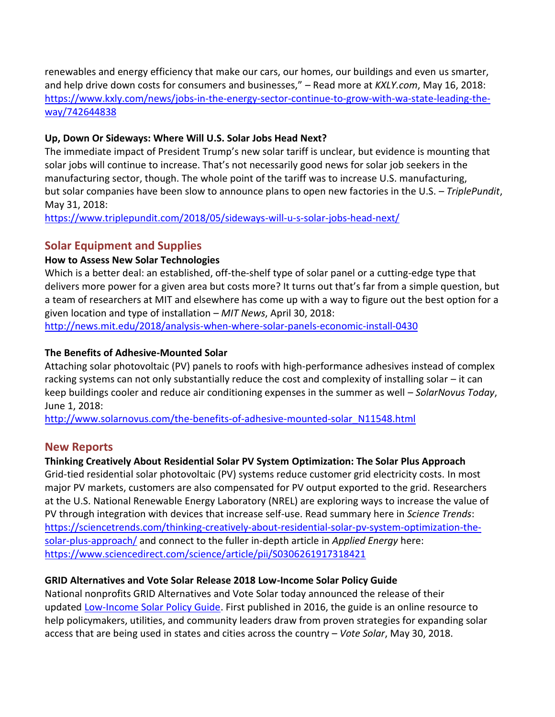renewables and energy efficiency that make our cars, our homes, our buildings and even us smarter, and help drive down costs for consumers and businesses," – Read more at *KXLY.com*, May 16, 2018: [https://www.kxly.com/news/jobs-in-the-energy-sector-continue-to-grow-with-wa-state-leading-the](https://www.kxly.com/news/jobs-in-the-energy-sector-continue-to-grow-with-wa-state-leading-the-way/742644838)[way/742644838](https://www.kxly.com/news/jobs-in-the-energy-sector-continue-to-grow-with-wa-state-leading-the-way/742644838)

#### **Up, Down Or Sideways: Where Will U.S. Solar Jobs Head Next?**

The immediate impact of President Trump's new solar tariff is unclear, but evidence is mounting that solar jobs will continue to increase. That's not necessarily good news for solar job seekers in the manufacturing sector, though. The whole point of the tariff was to increase U.S. manufacturing, but solar companies have been slow to announce plans to open new factories in the U.S. – *TriplePundit*, May 31, 2018:

<https://www.triplepundit.com/2018/05/sideways-will-u-s-solar-jobs-head-next/>

# **Solar Equipment and Supplies**

#### **How to Assess New Solar Technologies**

Which is a better deal: an established, off-the-shelf type of solar panel or a cutting-edge type that delivers more power for a given area but costs more? It turns out that's far from a simple question, but a team of researchers at MIT and elsewhere has come up with a way to figure out the best option for a given location and type of installation – *MIT News*, April 30, 2018:

<http://news.mit.edu/2018/analysis-when-where-solar-panels-economic-install-0430>

#### **[The Benefits of Adhesive-Mounted Solar](http://www.solarnovus.com/the-benefits-of-adhesive-mounted-solar_N11548.html)**

Attaching solar photovoltaic (PV) panels to roofs with high-performance adhesives instead of complex racking systems can not only substantially reduce the cost and complexity of installing solar – it can keep buildings cooler and reduce air conditioning expenses in the summer as well – *SolarNovus Today*, June 1, 2018:

[http://www.solarnovus.com/the-benefits-of-adhesive-mounted-solar\\_N11548.html](http://www.solarnovus.com/the-benefits-of-adhesive-mounted-solar_N11548.html)

## **New Reports**

## **Thinking Creatively About Residential Solar PV System Optimization: The Solar Plus Approach**

Grid-tied residential solar photovoltaic (PV) systems reduce customer grid electricity costs. In most major PV markets, customers are also compensated for PV output exported to the grid. Researchers at the [U.S. National Renewable Energy Laboratory](https://www.nrel.gov/) (NREL) are exploring ways to increase the value of PV through integration with devices that increase self-use. Read summary here in *Science Trends*: [https://sciencetrends.com/thinking-creatively-about-residential-solar-pv-system-optimization-the](https://sciencetrends.com/thinking-creatively-about-residential-solar-pv-system-optimization-the-solar-plus-approach/)[solar-plus-approach/](https://sciencetrends.com/thinking-creatively-about-residential-solar-pv-system-optimization-the-solar-plus-approach/) and connect to the fuller in-depth article in *Applied Energy* here: <https://www.sciencedirect.com/science/article/pii/S0306261917318421>

## **[GRID Alternatives and Vote Solar Release 2018 Low-Income Solar Policy Guide](http://www.solarnovus.com/grid-alternatives-and-vote-solar-release-2018-low-income-solar-policy-guide_N11543.html)**

National nonprofits GRID Alternatives and Vote Solar today announced the release of their updated [Low-Income Solar Policy Guide.](http://www.lowincomesolar.org/) First published in 2016, the guide is an online resource to help policymakers, utilities, and community leaders draw from proven strategies for expanding solar access that are being used in states and cities across the country – *Vote Solar*, May 30, 2018.